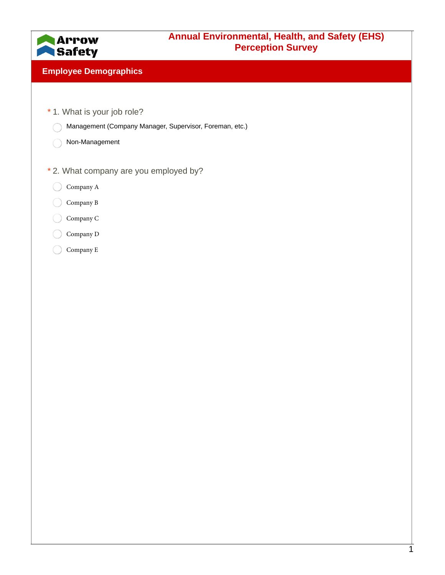

#### **Employee Demographics**

- \* 1. What is your job role?
	- Management (Company Manager, Supervisor, Foreman, etc.)
	- Non-Management
- \* 2. What company are you employed by?
	- Company A  $\bigcirc$
	- Company B  $\bigcap$
	- $\subset$ Company C
	- Company D
	- Company E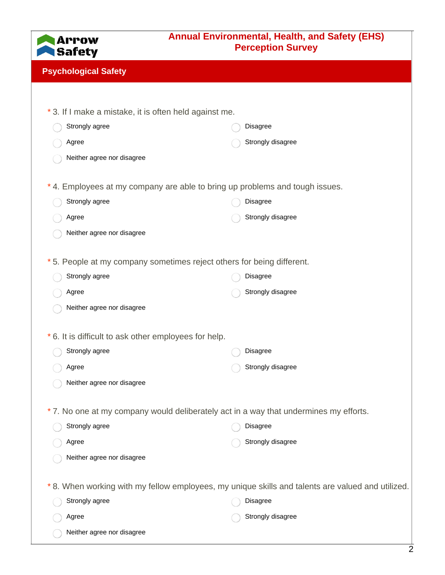

| * 3. If I make a mistake, it is often held against me.                                           |                   |  |  |
|--------------------------------------------------------------------------------------------------|-------------------|--|--|
| Strongly agree                                                                                   | Disagree          |  |  |
| Agree                                                                                            | Strongly disagree |  |  |
| Neither agree nor disagree                                                                       |                   |  |  |
|                                                                                                  |                   |  |  |
| *4. Employees at my company are able to bring up problems and tough issues.                      |                   |  |  |
| Strongly agree                                                                                   | Disagree          |  |  |
| Agree                                                                                            | Strongly disagree |  |  |
| Neither agree nor disagree                                                                       |                   |  |  |
|                                                                                                  |                   |  |  |
| *5. People at my company sometimes reject others for being different.                            |                   |  |  |
| Strongly agree                                                                                   | Disagree          |  |  |
| Agree                                                                                            | Strongly disagree |  |  |
| Neither agree nor disagree                                                                       |                   |  |  |
| * 6. It is difficult to ask other employees for help.                                            |                   |  |  |
| Strongly agree                                                                                   | Disagree          |  |  |
|                                                                                                  | Strongly disagree |  |  |
| Agree                                                                                            |                   |  |  |
| Neither agree nor disagree                                                                       |                   |  |  |
| *7. No one at my company would deliberately act in a way that undermines my efforts.             |                   |  |  |
| Strongly agree                                                                                   | Disagree          |  |  |
| Agree                                                                                            | Strongly disagree |  |  |
| Neither agree nor disagree                                                                       |                   |  |  |
|                                                                                                  |                   |  |  |
| *8. When working with my fellow employees, my unique skills and talents are valued and utilized. |                   |  |  |
| Strongly agree                                                                                   | Disagree          |  |  |
| Agree                                                                                            | Strongly disagree |  |  |
| Neither agree nor disagree                                                                       |                   |  |  |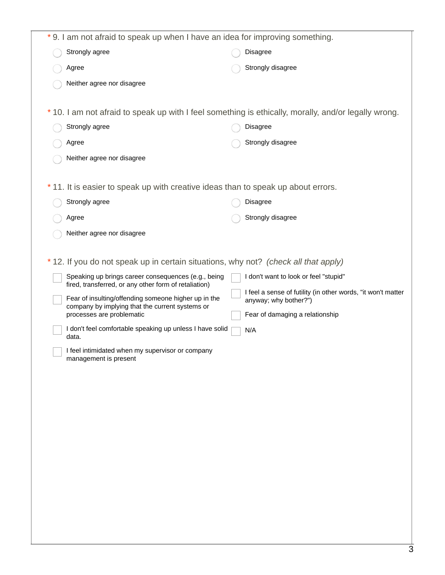| *9. I am not afraid to speak up when I have an idea for improving something.                                                                                                                                                                                                                                                |
|-----------------------------------------------------------------------------------------------------------------------------------------------------------------------------------------------------------------------------------------------------------------------------------------------------------------------------|
| Disagree                                                                                                                                                                                                                                                                                                                    |
| Strongly disagree                                                                                                                                                                                                                                                                                                           |
|                                                                                                                                                                                                                                                                                                                             |
|                                                                                                                                                                                                                                                                                                                             |
| * 10. I am not afraid to speak up with I feel something is ethically, morally, and/or legally wrong.                                                                                                                                                                                                                        |
| Disagree                                                                                                                                                                                                                                                                                                                    |
| Strongly disagree                                                                                                                                                                                                                                                                                                           |
|                                                                                                                                                                                                                                                                                                                             |
|                                                                                                                                                                                                                                                                                                                             |
| *11. It is easier to speak up with creative ideas than to speak up about errors.                                                                                                                                                                                                                                            |
| <b>Disagree</b>                                                                                                                                                                                                                                                                                                             |
| Strongly disagree                                                                                                                                                                                                                                                                                                           |
|                                                                                                                                                                                                                                                                                                                             |
| * 12. If you do not speak up in certain situations, why not? (check all that apply)<br>I don't want to look or feel "stupid"<br>I feel a sense of futility (in other words, "it won't matter<br>anyway; why bother?")<br>Fear of damaging a relationship<br>I don't feel comfortable speaking up unless I have solid<br>N/A |
|                                                                                                                                                                                                                                                                                                                             |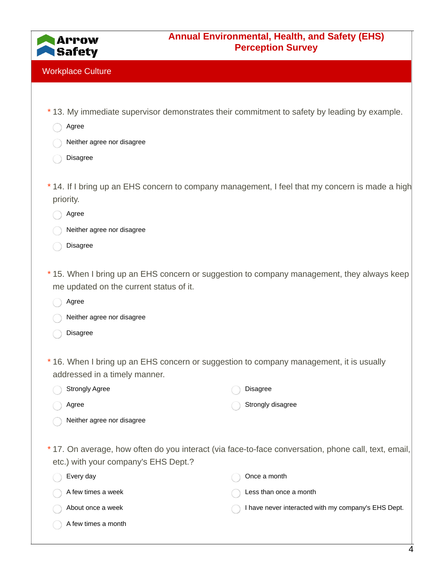

- \* 13. My immediate supervisor demonstrates their commitment to safety by leading by example.
	- Agree
	- Neither agree nor disagree
	- Disagree
- 14. If I bring up an EHS concern to company management, I feel that my concern is made a high \* priority.
	- Agree
	- Neither agree nor disagree
	- Disagree
- 15. When I bring up an EHS concern or suggestion to company management, they always keep \* me updated on the current status of it.
	- Agree
	- Neither agree nor disagree
	- Disagree
- \* 16. When I bring up an EHS concern or suggestion to company management, it is usually addressed in a timely manner.
	- Strongly Agree Agree Disagree Strongly disagree
	- Neither agree nor disagree
- \* 17. On average, how often do you interact (via face-to-face conversation, phone call, text, email, etc.) with your company's EHS Dept.?

| Every day           | Once a month                                        |
|---------------------|-----------------------------------------------------|
| A few times a week  | Less than once a month                              |
| About once a week   | I have never interacted with my company's EHS Dept. |
| A few times a month |                                                     |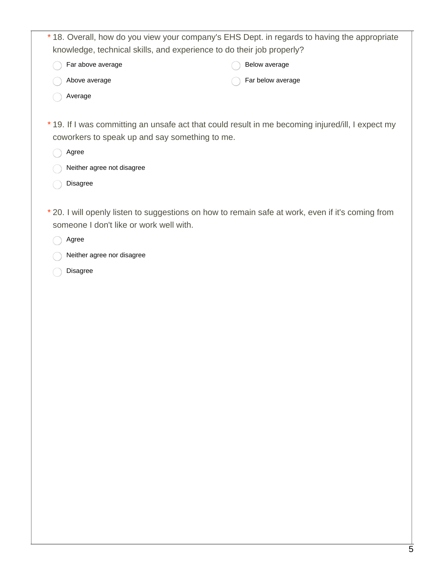| * 18. Overall, how do you view your company's EHS Dept. in regards to having the appropriate |                                                                                                   |  |  |
|----------------------------------------------------------------------------------------------|---------------------------------------------------------------------------------------------------|--|--|
| knowledge, technical skills, and experience to do their job properly?                        |                                                                                                   |  |  |
| Far above average                                                                            | Below average                                                                                     |  |  |
| Above average                                                                                | Far below average                                                                                 |  |  |
| Average                                                                                      |                                                                                                   |  |  |
|                                                                                              |                                                                                                   |  |  |
| coworkers to speak up and say something to me.                                               | *19. If I was committing an unsafe act that could result in me becoming injured/ill, I expect my  |  |  |
| Agree                                                                                        |                                                                                                   |  |  |
| Neither agree not disagree                                                                   |                                                                                                   |  |  |
| Disagree                                                                                     |                                                                                                   |  |  |
|                                                                                              |                                                                                                   |  |  |
|                                                                                              | * 20. I will openly listen to suggestions on how to remain safe at work, even if it's coming from |  |  |
| someone I don't like or work well with.                                                      |                                                                                                   |  |  |
| Agree                                                                                        |                                                                                                   |  |  |
| Neither agree nor disagree                                                                   |                                                                                                   |  |  |
| <b>Disagree</b>                                                                              |                                                                                                   |  |  |
|                                                                                              |                                                                                                   |  |  |
|                                                                                              |                                                                                                   |  |  |
|                                                                                              |                                                                                                   |  |  |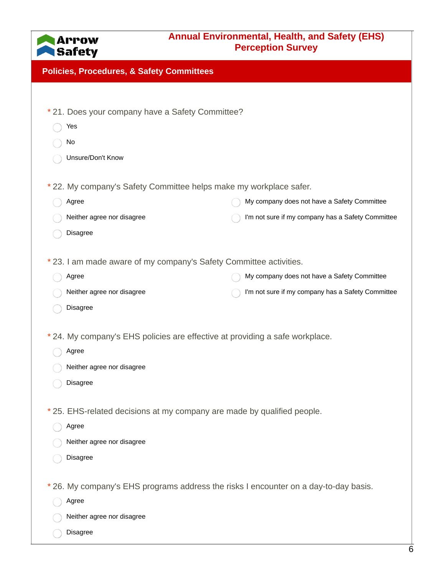

| $\sim$ - - - - $\sim$ - $\prime$<br><b>Policies, Procedures, &amp; Safety Committees</b> |                                                   |  |  |
|------------------------------------------------------------------------------------------|---------------------------------------------------|--|--|
|                                                                                          |                                                   |  |  |
| * 21. Does your company have a Safety Committee?                                         |                                                   |  |  |
| Yes                                                                                      |                                                   |  |  |
| No                                                                                       |                                                   |  |  |
| Unsure/Don't Know                                                                        |                                                   |  |  |
| * 22. My company's Safety Committee helps make my workplace safer.                       |                                                   |  |  |
| Agree                                                                                    | My company does not have a Safety Committee       |  |  |
| Neither agree nor disagree                                                               | I'm not sure if my company has a Safety Committee |  |  |
| Disagree                                                                                 |                                                   |  |  |
| * 23. I am made aware of my company's Safety Committee activities.                       |                                                   |  |  |
| Agree                                                                                    | My company does not have a Safety Committee       |  |  |
| Neither agree nor disagree                                                               | I'm not sure if my company has a Safety Committee |  |  |
| Disagree                                                                                 |                                                   |  |  |
| * 24. My company's EHS policies are effective at providing a safe workplace.             |                                                   |  |  |
| Agree                                                                                    |                                                   |  |  |
| Neither agree nor disagree                                                               |                                                   |  |  |
| Disagree                                                                                 |                                                   |  |  |
| * 25. EHS-related decisions at my company are made by qualified people.                  |                                                   |  |  |
| Agree                                                                                    |                                                   |  |  |
| Neither agree nor disagree                                                               |                                                   |  |  |
| Disagree                                                                                 |                                                   |  |  |
| * 26. My company's EHS programs address the risks I encounter on a day-to-day basis.     |                                                   |  |  |
| Agree                                                                                    |                                                   |  |  |
| Neither agree nor disagree                                                               |                                                   |  |  |
| Disagree                                                                                 |                                                   |  |  |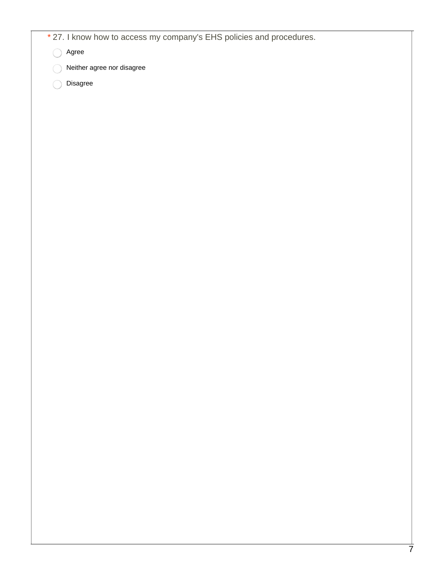\* 27. I know how to access my company's EHS policies and procedures.

Agree  $\bigcap$ 

Neither agree nor disagree

Disagree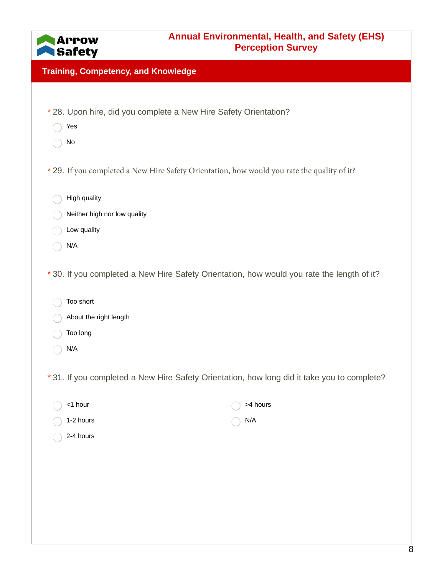

#### **Training, Competency, and Knowledge**

- \* 28. Upon hire, did you complete a New Hire Safety Orientation?
	- Yes
	- No
- \* 29. If you completed a New Hire Safety Orientation, how would you rate the quality of it?
	- High quality
	- Neither high nor low quality
	- Low quality
	- N/A
- \* 30. If you completed a New Hire Safety Orientation, how would you rate the length of it?
	- Too short
	- About the right length
	- Too long

2-4 hours

- N/A
- \* 31. If you completed a New Hire Safety Orientation, how long did it take you to complete?

| $\bigcap$ <1 hour   | $\bigcirc$ >4 hours |
|---------------------|---------------------|
| $\bigcap$ 1-2 hours | $\bigcap$ N/A       |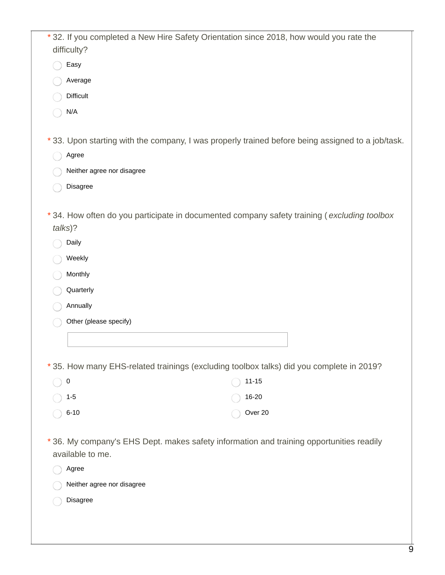| *32. If you completed a New Hire Safety Orientation since 2018, how would you rate the                      |  |
|-------------------------------------------------------------------------------------------------------------|--|
| difficulty?                                                                                                 |  |
| Easy                                                                                                        |  |
| Average                                                                                                     |  |
| Difficult                                                                                                   |  |
| N/A                                                                                                         |  |
|                                                                                                             |  |
| *33. Upon starting with the company, I was properly trained before being assigned to a job/task.            |  |
| Agree                                                                                                       |  |
| Neither agree nor disagree                                                                                  |  |
| Disagree                                                                                                    |  |
|                                                                                                             |  |
| *34. How often do you participate in documented company safety training (excluding toolbox                  |  |
| talks)?                                                                                                     |  |
| Daily                                                                                                       |  |
| Weekly                                                                                                      |  |
| Monthly                                                                                                     |  |
| Quarterly                                                                                                   |  |
| Annually                                                                                                    |  |
| Other (please specify)                                                                                      |  |
|                                                                                                             |  |
|                                                                                                             |  |
| *35. How many EHS-related trainings (excluding toolbox talks) did you complete in 2019?                     |  |
| $\mathsf{O}\xspace$<br>$11 - 15$                                                                            |  |
| 16-20<br>$1-5$                                                                                              |  |
| Over 20<br>$6 - 10$                                                                                         |  |
| *36. My company's EHS Dept. makes safety information and training opportunities readily<br>available to me. |  |
| Agree                                                                                                       |  |
| Neither agree nor disagree                                                                                  |  |
| Disagree                                                                                                    |  |
|                                                                                                             |  |
|                                                                                                             |  |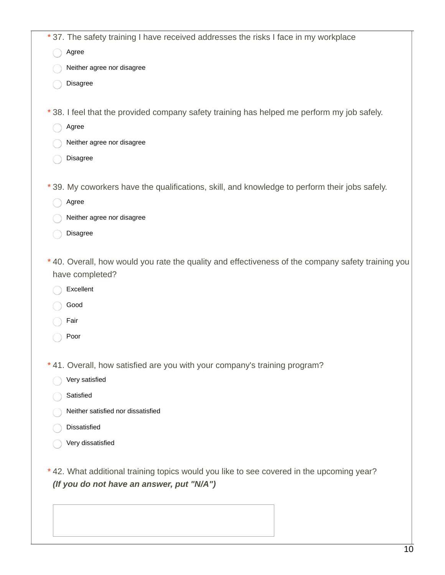|                 | *37. The safety training I have received addresses the risks I face in my workplace                                                   |
|-----------------|---------------------------------------------------------------------------------------------------------------------------------------|
| Agree           |                                                                                                                                       |
|                 | Neither agree nor disagree                                                                                                            |
| Disagree        |                                                                                                                                       |
|                 |                                                                                                                                       |
|                 | *38. I feel that the provided company safety training has helped me perform my job safely.                                            |
| Agree           |                                                                                                                                       |
|                 | Neither agree nor disagree                                                                                                            |
| Disagree        |                                                                                                                                       |
|                 | *39. My coworkers have the qualifications, skill, and knowledge to perform their jobs safely.                                         |
| Agree           |                                                                                                                                       |
|                 | Neither agree nor disagree                                                                                                            |
| Disagree        |                                                                                                                                       |
| have completed? | * 40. Overall, how would you rate the quality and effectiveness of the company safety training you                                    |
| Excellent       |                                                                                                                                       |
| Good            |                                                                                                                                       |
| Fair            |                                                                                                                                       |
| Poor            |                                                                                                                                       |
|                 | *41. Overall, how satisfied are you with your company's training program?                                                             |
| Very satisfied  |                                                                                                                                       |
| Satisfied       |                                                                                                                                       |
|                 | Neither satisfied nor dissatisfied                                                                                                    |
| Dissatisfied    |                                                                                                                                       |
|                 | Very dissatisfied                                                                                                                     |
|                 | *42. What additional training topics would you like to see covered in the upcoming year?<br>(If you do not have an answer, put "N/A") |
|                 |                                                                                                                                       |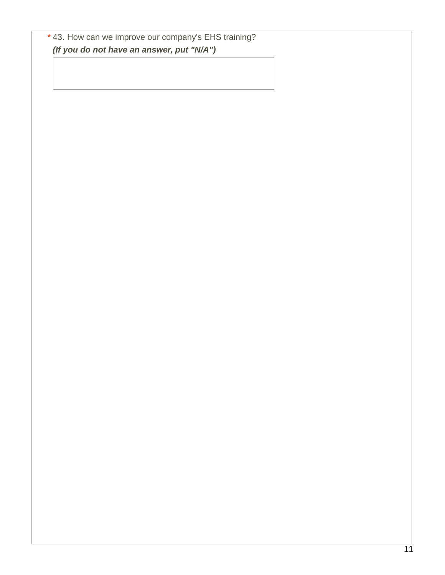43. How can we improve our company's EHS training? \* *(If you do not have an answer, put "N/A")*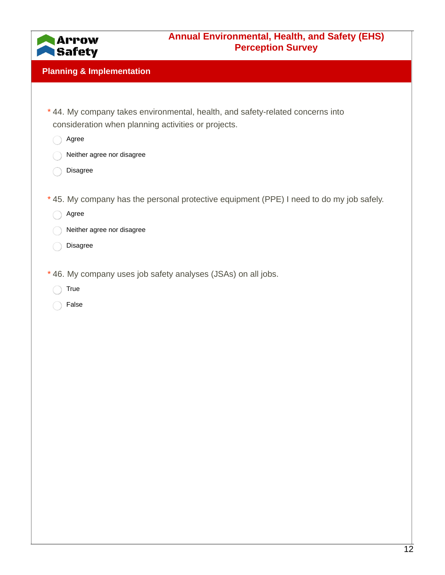

#### **Planning & Implementation**

- 44. My company takes environmental, health, and safety-related concerns into \* consideration when planning activities or projects.
	- Agree
	- Neither agree nor disagree ◠
	- ⌒ Disagree
- \* 45. My company has the personal protective equipment (PPE) I need to do my job safely.
	- Agree
	- Neither agree nor disagree
	- Disagree
- \* 46. My company uses job safety analyses (JSAs) on all jobs.
	- True
	- False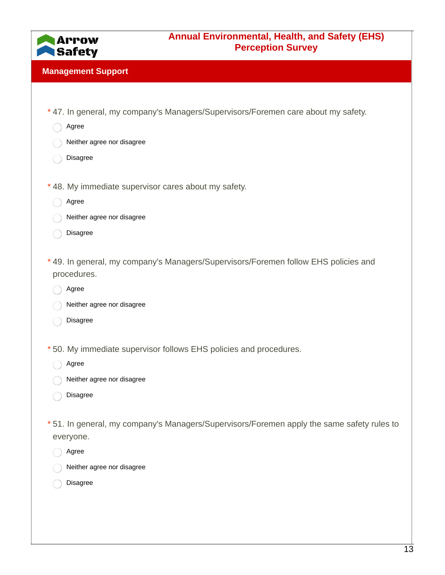

#### **Management Support**

- \* 47. In general, my company's Managers/Supervisors/Foremen care about my safety.
	- Agree
	- Neither agree nor disagree
	- Disagree
- \* 48. My immediate supervisor cares about my safety.
	- Agree  $\bigcap$
	- Neither agree nor disagree
	- Disagree
- 49. In general, my company's Managers/Supervisors/Foremen follow EHS policies and \* procedures.
	- Agree
	- Neither agree nor disagree
	- Disagree
- \* 50. My immediate supervisor follows EHS policies and procedures.
	- Agree
	- Neither agree nor disagree
	- Disagree
- 51. In general, my company's Managers/Supervisors/Foremen apply the same safety rules to \* everyone.
	- Agree
	- Neither agree nor disagree
	- Disagree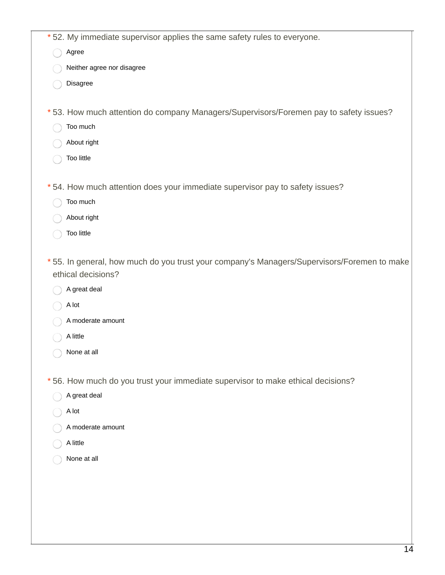| *52. My immediate supervisor applies the same safety rules to everyone.                                          |
|------------------------------------------------------------------------------------------------------------------|
| Agree                                                                                                            |
| Neither agree nor disagree                                                                                       |
| Disagree                                                                                                         |
|                                                                                                                  |
| *53. How much attention do company Managers/Supervisors/Foremen pay to safety issues?                            |
| Too much                                                                                                         |
| About right                                                                                                      |
| Too little                                                                                                       |
|                                                                                                                  |
| *54. How much attention does your immediate supervisor pay to safety issues?                                     |
| Too much                                                                                                         |
| About right                                                                                                      |
| Too little                                                                                                       |
| *55. In general, how much do you trust your company's Managers/Supervisors/Foremen to make<br>ethical decisions? |
| A great deal                                                                                                     |
| A lot                                                                                                            |
| A moderate amount                                                                                                |
| A little                                                                                                         |
| None at all                                                                                                      |
|                                                                                                                  |
| *56. How much do you trust your immediate supervisor to make ethical decisions?                                  |
| A great deal                                                                                                     |
| A lot                                                                                                            |
| A moderate amount                                                                                                |
| A little                                                                                                         |
| None at all                                                                                                      |
|                                                                                                                  |
|                                                                                                                  |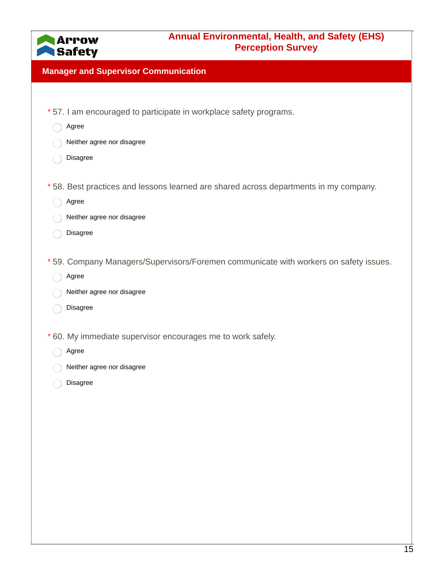

#### **Manager and Supervisor Communication**

- \* 57. I am encouraged to participate in workplace safety programs.
	- Agree
	- Neither agree nor disagree
	- Disagree
- \* 58. Best practices and lessons learned are shared across departments in my company.
	- ∩ Agree
	- Neither agree nor disagree
	- Disagree
- \* 59. Company Managers/Supervisors/Foremen communicate with workers on safety issues.
	- Agree
	- Neither agree nor disagree
	- Disagree
- \* 60. My immediate supervisor encourages me to work safely.
	- Agree
	- Neither agree nor disagree
	- Disagree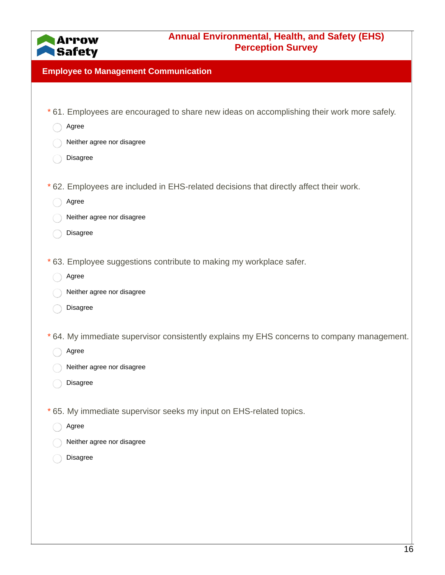

#### **Employee to Management Communication**

- \* 61. Employees are encouraged to share new ideas on accomplishing their work more safely.
	- Agree
	- Neither agree nor disagree
	- Disagree
- \* 62. Employees are included in EHS-related decisions that directly affect their work.
	- Agree ◯
	- Neither agree nor disagree
	- Disagree
- \* 63. Employee suggestions contribute to making my workplace safer.
	- Agree
	- Neither agree nor disagree
	- Disagree
- \* 64. My immediate supervisor consistently explains my EHS concerns to company management.
	- Agree
	- Neither agree nor disagree
	- Disagree
- \* 65. My immediate supervisor seeks my input on EHS-related topics.
	- Agree
	- Neither agree nor disagree
	- Disagree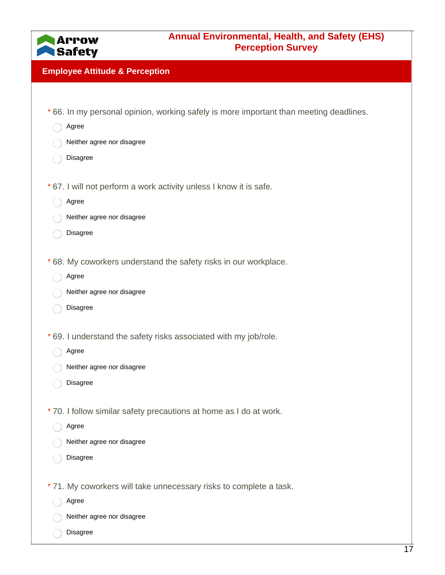

#### **Employee Attitude & Perception**

- \* 66. In my personal opinion, working safely is more important than meeting deadlines.
	- Agree
	- Neither agree nor disagree
	- Disagree
- \* 67. I will not perform a work activity unless I know it is safe.
	- Agree  $\bigcirc$
	- Neither agree nor disagree
	- Disagree
- \* 68. My coworkers understand the safety risks in our workplace.
	- Agree
	- Neither agree nor disagree
	- Disagree
- \* 69. I understand the safety risks associated with my job/role.
	- Agree
	- Neither agree nor disagree
	- Disagree
- \* 70. I follow similar safety precautions at home as I do at work.
	- Agree
	- Neither agree nor disagree
	- Disagree
- \* 71. My coworkers will take unnecessary risks to complete a task.
	- Agree
	- Neither agree nor disagree
	- Disagree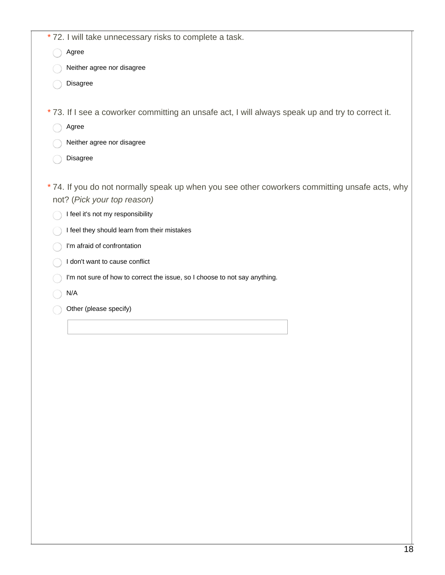Agree

- Neither agree nor disagree
- Disagree
- \* 73. If I see a coworker committing an unsafe act, I will always speak up and try to correct it.
	- agree
	- Neither agree nor disagree
	- Disagree
- 74. If you do not normally speak up when you see other coworkers committing unsafe acts, why \* not? (*Pick your top reason)*
- ◯ I feel it's not my responsibility
- I feel they should learn from their mistakes
- I'm afraid of confrontation
- I don't want to cause conflict  $\bigcirc$
- I'm not sure of how to correct the issue, so I choose to not say anything. ◯
- N/A
- Other (please specify)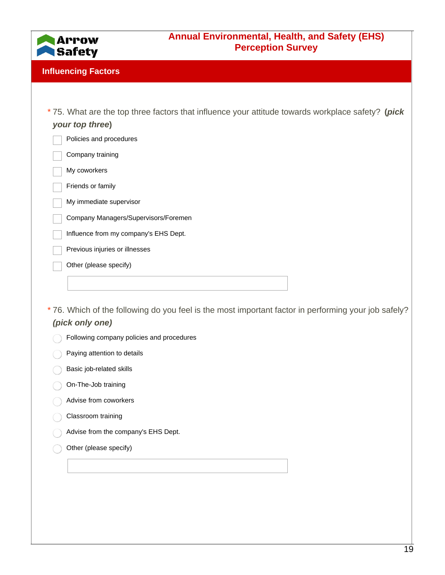

| * 75. What are the top three factors that influence your attitude towards workplace safety? (pick |  |
|---------------------------------------------------------------------------------------------------|--|
| your top three)                                                                                   |  |

Policies and procedures

Company training

My coworkers

Friends or family

My immediate supervisor

Company Managers/Supervisors/Foremen

Influence from my company's EHS Dept.

Previous injuries or illnesses

Other (please specify)

76. Which of the following do you feel is the most important factor in performing your job safely? \* *(pick only one)*

|  |  |  |  |  | Following company policies and procedures |
|--|--|--|--|--|-------------------------------------------|
|--|--|--|--|--|-------------------------------------------|

Paying attention to details

**Basic job-related skills** 

#### On-The-Job training

- Advise from coworkers
- Classroom training
- Advise from the company's EHS Dept.
- Other (please specify)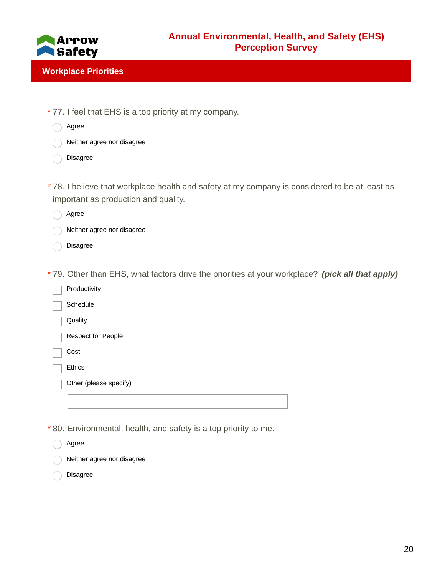| <b>APPOW</b>  |  |
|---------------|--|
| <b>Safety</b> |  |

#### **Workplace Priorities**

- \* 77. I feel that EHS is a top priority at my company.
	- Agree
	- Neither agree nor disagree
	- Disagree
- 78. I believe that workplace health and safety at my company is considered to be at least as \* important as production and quality.
	- Agree
	- Neither agree nor disagree
	- Disagree
- \* 79. Other than EHS, what factors drive the priorities at your workplace? *(pick all that apply)*
	- Productivity
	- Schedule
	- Quality
	- Respect for People
	- Cost
	- Ethics
		- Other (please specify)
- \* 80. Environmental, health, and safety is a top priority to me.
	- Agree
	- Neither agree nor disagree
	- Disagree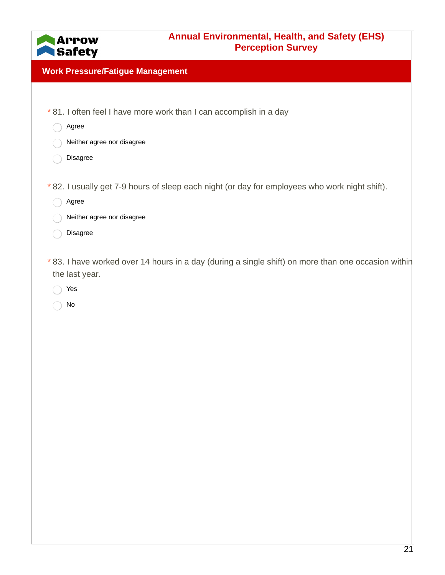

#### **Work Pressure/Fatigue Management**

- \* 81. I often feel I have more work than I can accomplish in a day
	- Agree
	- Neither agree nor disagree
	- Disagree
- \* 82. I usually get 7-9 hours of sleep each night (or day for employees who work night shift).
	- $\bigcap$ Agree
	- Neither agree nor disagree ∩
	- Disagree
- 83. I have worked over 14 hours in a day (during a single shift) on more than one occasion within \* the last year.
	- Yes  $\bigcirc$
	- No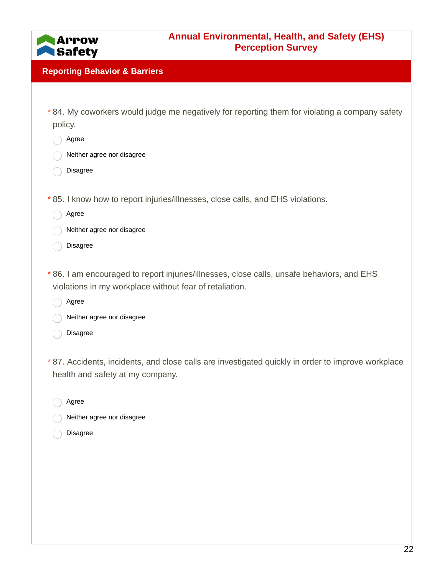

#### **Reporting Behavior & Barriers**

- 84. My coworkers would judge me negatively for reporting them for violating a company safety \* policy.
	- Agree
	- Neither agree nor disagree
	- Disagree
- \* 85. I know how to report injuries/illnesses, close calls, and EHS violations.
	- Agree
	- Neither agree nor disagree
	- Disagree
- 86. I am encouraged to report injuries/illnesses, close calls, unsafe behaviors, and EHS \* violations in my workplace without fear of retaliation.
	- Agree
	- Neither agree nor disagree
	- Disagree
- 87. Accidents, incidents, and close calls are investigated quickly in order to improve workplace \* health and safety at my company.
	- Agree
	- Neither agree nor disagree
	- Disagree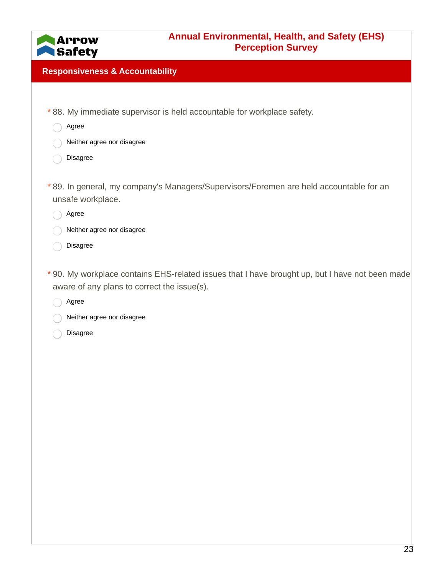

#### **Responsiveness & Accountability**

- \* 88. My immediate supervisor is held accountable for workplace safety.
	- Agree
	- Neither agree nor disagree
	- Disagree
- 89. In general, my company's Managers/Supervisors/Foremen are held accountable for an \* unsafe workplace.
	- Agree
	- Neither agree nor disagree
	- Disagree
- 90. My workplace contains EHS-related issues that I have brought up, but I have not been made \* aware of any plans to correct the issue(s).
- Agree  $\bigcap$
- Neither agree nor disagree
- Disagree